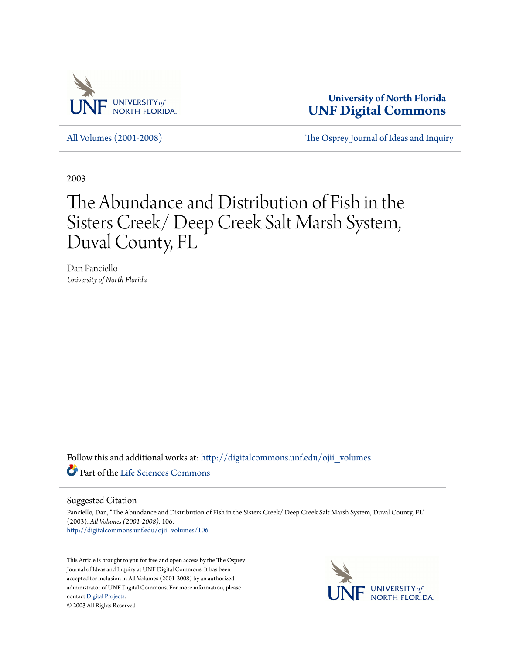

**University of North Florida [UNF Digital Commons](http://digitalcommons.unf.edu?utm_source=digitalcommons.unf.edu%2Fojii_volumes%2F106&utm_medium=PDF&utm_campaign=PDFCoverPages)**

[All Volumes \(2001-2008\)](http://digitalcommons.unf.edu/ojii_volumes?utm_source=digitalcommons.unf.edu%2Fojii_volumes%2F106&utm_medium=PDF&utm_campaign=PDFCoverPages) [The Osprey Journal of Ideas and Inquiry](http://digitalcommons.unf.edu/ojii?utm_source=digitalcommons.unf.edu%2Fojii_volumes%2F106&utm_medium=PDF&utm_campaign=PDFCoverPages)

2003

# The Abundance and Distribution of Fish in the Sisters Creek/ Deep Creek Salt Marsh System, Duval County, FL

Dan Panciello *University of North Florida*

Follow this and additional works at: [http://digitalcommons.unf.edu/ojii\\_volumes](http://digitalcommons.unf.edu/ojii_volumes?utm_source=digitalcommons.unf.edu%2Fojii_volumes%2F106&utm_medium=PDF&utm_campaign=PDFCoverPages) Part of the [Life Sciences Commons](http://network.bepress.com/hgg/discipline/1016?utm_source=digitalcommons.unf.edu%2Fojii_volumes%2F106&utm_medium=PDF&utm_campaign=PDFCoverPages)

Suggested Citation

Panciello, Dan, "The Abundance and Distribution of Fish in the Sisters Creek/ Deep Creek Salt Marsh System, Duval County, FL" (2003). *All Volumes (2001-2008)*. 106. [http://digitalcommons.unf.edu/ojii\\_volumes/106](http://digitalcommons.unf.edu/ojii_volumes/106?utm_source=digitalcommons.unf.edu%2Fojii_volumes%2F106&utm_medium=PDF&utm_campaign=PDFCoverPages)

This Article is brought to you for free and open access by the The Osprey Journal of Ideas and Inquiry at UNF Digital Commons. It has been accepted for inclusion in All Volumes (2001-2008) by an authorized administrator of UNF Digital Commons. For more information, please contact [Digital Projects.](mailto:lib-digital@unf.edu) © 2003 All Rights Reserved

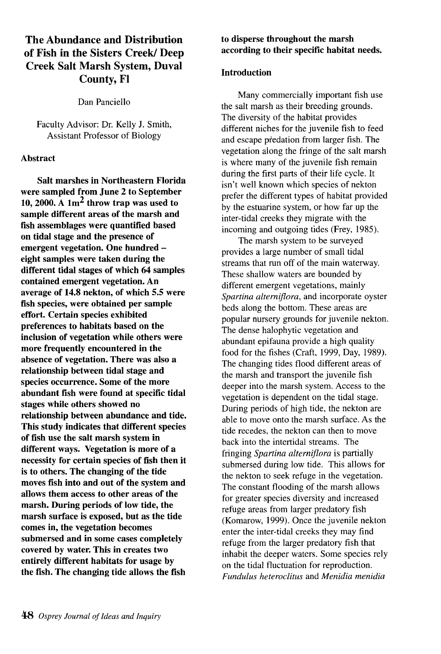# The Abundance and Distribution of Fish in the Sisters Creek/ Deep Creek Salt Marsh System, Duval County, FI

Dan Panciello

Faculty Advisor: Dr. Kelly 1. Smith, Assistant Professor of Biology

## Abstract

Salt marshes in Northeastern Florida were sampled from June 2 to September 10, 2000. A  $1m<sup>2</sup>$  throw trap was used to sample different areas of the marsh and fish assemblages were quantified based on tidal stage and the presence of emergent vegetation. One hundred eight samples were taken during the different tidal stages of which 64 samples contained emergent vegetation. An average of 14.8 nekton, of which 5.5 were fish species, were obtained per sample effort. Certain species exhibited preferences to habitats based on the inclusion of vegetation while others were more frequently encountered in the absence of vegetation. There was also a relationship between tidal stage and species occurrence. Some of the more abundant fish were found at specific tidal stages while others showed no relationship between abundance and tide. This study indicates that different species of fish use the salt marsh system in different ways. Vegetation is more of a necessity for certain species of fish then it is to others. The changing of the tide moves fish into and out of the system and allows them access to other areas of the marsh. During periods of low tide, the marsh surface is exposed, but as the tide comes in, the vegetation becomes submersed and in some cases completely covered by water. This in creates two entirely different habitats for usage by the fish. The changing tide allows the fish

# to disperse throughout the marsh according to their specific habitat needs.

## Introduction

Many commercially important fish use the salt marsh as their breeding grounds. The diversity of the habitat provides different niches for the juvenile fish to feed and escape predation from larger fish. The vegetation along the fringe of the salt marsh is where many of the juvenile fish remain during the first parts of their life cycle. It isn't well known which species of nekton prefer the different types of habitat provided by the estuarine system, or how far up the inter-tidal creeks they migrate with the incoming and outgoing tides (Frey, 1985).

The marsh system to be surveyed provides a large number of small tidal streams that run off of the main waterway. These shallow waters are bounded by different emergent vegetations, mainly *Spartina alterniflora,* and incorporate oyster beds along the bottom. These areas are popular nursery grounds for juvenile nekton. The dense halophytic vegetation and abundant epifauna provide a high quality food for the fishes (Craft, 1999, Day, 1989). The changing tides flood different areas of the marsh and transport the juvenile fish deeper into the marsh system. Access to the vegetation is dependent on the tidal stage. During periods of high tide, the nekton are able to move onto the marsh surface. As the tide recedes, the nekton can then to move back into the intertidal streams. The fringing *Spartina alterniflora* is partially submersed during low tide. This allows for the nekton to seek refuge in the vegetation. The constant flooding of the marsh allows for greater species diversity and increased refuge areas from larger predatory fish (Komarow, 1999). Once the juvenile nekton enter the inter-tidal creeks they may find refuge from the larger predatory fish that inhabit the deeper waters. Some species rely on the tidal fluctuation for reproduction. *Fundulus heteroclitus* and *Menidia menidia*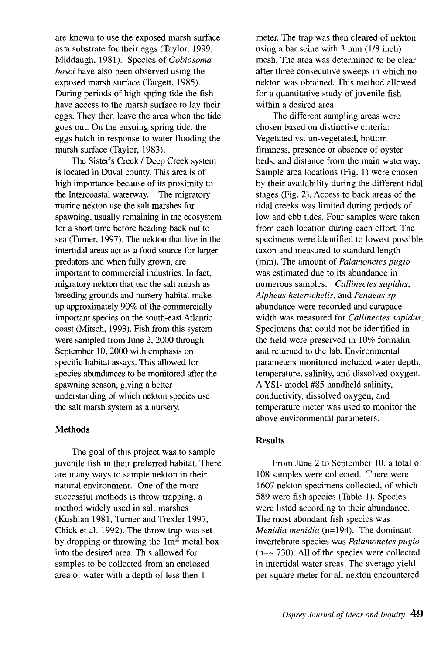are known to use the exposed marsh surface as a substrate for their eggs (Taylor, 1999, Middaugh, 1981). Species of *Gobiosoma bosci* have also been observed using the exposed marsh surface (Targett, 1985). During periods of high spring tide the fish have access to the marsh surface to lay their eggs. They then leave the area when the tide goes out. On the ensuing spring tide, the eggs hatch in response to water flooding the marsh surface (Taylor, 1983).

The Sister's Creek / Deep Creek system is located in Duval county. This area is of high importance because of its proximity to the Intercoastal waterway. The migratory marine nekton use the salt marshes for spawning, usually remaining in the ecosystem for a short time before heading back out to sea (Turner, 1997). The nekton that live in the intertidal areas act as a food source for larger predators and when fully grown, are important to commercial industries. In fact, migratory nekton that use the salt marsh as breeding grounds and nursery habitat make up approximately 90% of the commercially important species on the south-east Atlantic coast (Mitsch, 1993). Fish from this system were sampled from June 2, 2000 through September 10, 2000 with emphasis on specific habitat assays. This allowed for species abundances to be monitored after the spawning season, giving a better understanding of which nekton species use the salt marsh system as a nursery.

#### **Methods**

The goal of this project was to sample juvenile fish in their preferred habitat. There are many ways to sample nekton in their natural environment. One of the more successful methods is throw trapping, a method widely used in salt marshes (Kushlan 1981, Turner and Trexler 1997, Chick et al. 1992). The throw trap was set by dropping or throwing the  $1m<sup>2</sup>$  metal box into the desired area. This allowed for samples to be collected from an enclosed area of water with a depth of less then 1

meter. The trap was then cleared of nekton using a bar seine with 3 mm (1/8 inch) mesh. The area was determined to be clear after three consecutive sweeps in which no nekton was obtained. This method allowed for a quantitative study of juvenile fish within a desired area.

The different sampling areas were chosen based on distinctive criteria: Vegetated vs. un-vegetated, bottom firmness, presence or absence of oyster beds, and distance from the main waterway. Sample area locations (Fig. 1) were chosen by their availability during the different tidal stages (Fig. 2). Access to back areas of the tidal creeks was limited during periods of low and ebb tides. Four samples were taken from each location during each effort. The specimens were identified to lowest possible taxon and measured to standard length (mm). The amount of *Palamonetes pugio*  was estimated due to its abundance in numerous samples. *Callinectes sapidus, Alpheus heterochelis,* and *Penaeus sp*  abundance were recorded and carapace width was measured for *Callinectes sapidus.*  Specimens that could not be identified in the field were preserved in 10% formalin and returned to the lab. Environmental parameters monitored included water depth, temperature, salinity, and dissolved oxygen. A YSI- model #85 handheld salinity, conductivity, dissolved oxygen, and temperature meter was used to monitor the above environmental parameters.

#### **Results**

From June 2 to September 10, a total of 108 samples were collected. There were 1607 nekton specimens collected, of which 589 were fish species (Table 1). Species were listed according to their abundance. The most abundant fish species was *Menidia menidia* (n=194). The dominant invertebrate species was *Palamonetes pugio*   $(n=- 730)$ . All of the species were collected in intertidal water areas. The average yield per square meter for all nekton encountered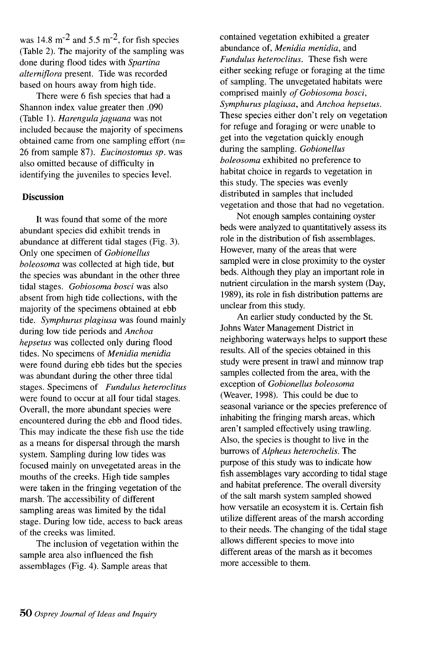was  $14.8 \text{ m}^{-2}$  and  $5.5 \text{ m}^{-2}$ , for fish species (Table 2). The majority of the sampling was done during flood tides with *Spartina alterniflora* present. Tide was recorded based on hours away from high tide.

There were 6 fish species that had a Shannon index value greater then .090 (Table 1). *Harengulajaguana* was not included because the majority of specimens obtained came from one sampling effort (n= 26 from sample 87). *Eucinostomus sp.* was also omitted because of difficulty in identifying the juveniles to species level.

#### **Discussion**

It was found that some of the more abundant species did exhibit trends in abundance at different tidal stages (Fig. 3). Only one specimen of *Gobionellus boleosoma* was collected at high tide, but the species was abundant in the other three tidal stages. *Gobiosoma bosci* was also absent from high tide collections, with the majority of the specimens obtained at ebb tide. *Symphurus plagiusa* was found mainly during low tide periods and *Anchoa hepsetus* was collected only during flood tides. No specimens of *Menidia menidia*  were found during ebb tides but the species was abundant during the other three tidal stages. Specimens of *Fundulus heteroclitus*  were found to occur at all four tidal stages. Overall, the more abundant species were encountered during the ebb and flood tides. This may indicate the these fish use the tide as a means for dispersal through the marsh system. Sampling during low tides was focused mainly on unvegetated areas in the mouths of the creeks. High tide samples were taken in the fringing vegetation of the marsh. The accessibility of different sampling areas was limited by the tidal stage. During low tide, access to back areas of the creeks was limited.

The inclusion of vegetation within the sample area also influenced the fish assemblages (Fig. 4). Sample areas that

contained vegetation exhibited a greater abundance of, *Menidia menidia,* and *Fundulus heteroclitus.* These fish were either seeking refuge or foraging at the time of sampling. The unvegetated habitats were comprised mainly *of Gobiosoma bosci, Symphurus plagiusa,* and *Anchoa hepsetus.*  These species either don't rely on vegetation for refuge and foraging or were unable to get into the vegetation quickly enough during the sampling. *Gobionellus boleosoma* exhibited no preference to habitat choice in regards to vegetation in this study. The species was evenly distributed in samples that included vegetation and those that had no vegetation.

Not enough samples containing oyster beds were analyzed to quantitatively assess its role in the distribution of fish assemblages. However, many of the areas that were sampled were in close proximity to the oyster beds. Although they play an important role in nutrient circulation in the marsh system (Day, 1989), its role in fish distribution patterns are unclear from this study.

An earlier study conducted by the St. Johns Water Management District in neighboring waterways helps to support these results. All of the species obtained in this study were present in trawl and minnow trap samples collected from the area, with the exception of *Gobionellus boleosoma*  (Weaver, 1998). This could be due to seasonal variance or the species preference of inhabiting the fringing marsh areas, which aren't sampled effectively using trawling. Also, the species is thought to live in the burrows of *Alpheus heterochelis.* The purpose of this study was to indicate how fish assemblages vary according to tidal stage and habitat preference. The overall diversity of the salt marsh system sampled showed how versatile an ecosystem it is. Certain fish utilize different areas of the marsh according to their needs. The changing of the tidal stage allows different species to move into different areas of the marsh as it becomes more accessible to them.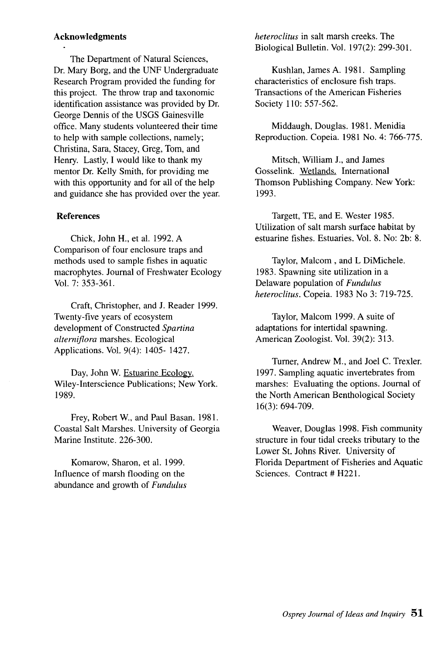#### **Acknowledgments**

The Department of Natural Sciences, Dr. Mary Borg, and the UNF Undergraduate Research Program provided the funding for this project. The throw trap and taxonomic identification assistance was provided by Dr. George Dennis of the USGS Gainesville office. Many students volunteered their time to help with sample collections, namely; Christina, Sara, Stacey, Greg, Tom, and Henry. Lastly, I would like to thank my mentor Dr. Kelly Smith, for providing me with this opportunity and for all of the help and guidance she has provided over the year.

#### **References**

Chick, John H., et al. 1992. A Comparison of four enclosure traps and methods used to sample fishes in aquatic macrophytes. Journal of Freshwater Ecology Vol. 7: 353-361.

Craft, Christopher, and J. Reader 1999. Twenty-five years of ecosystem development of Constructed *Spartina alterniflora* marshes. Ecological Applications. Vol. 9(4): 1405- 1427.

Day, John W. Estuarine Ecology. Wiley-Interscience Publications; New York. 1989.

Frey, Robert W, and Paul Basan. 1981. Coastal Salt Marshes. University of Georgia Marine Institute. 226-300.

Komarow, Sharon, et al. 1999. Influence of marsh flooding on the abundance and growth of *Fundulus*  *heteroclitus* in salt marsh creeks. The Biological Bulletin. Vol. 197(2): 299-301.

Kushlan, James A. 1981. Sampling characteristics of enclosure fish traps. Transactions of the American Fisheries Society 110: 557-562.

Middaugh, Douglas. 1981. Menidia Reproduction. Copeia. 1981 No.4: 766-775.

Mitsch, William J., and James Gosselink. Wetlands. International Thomson Publishing Company. New York: 1993.

Targett, TE, and E. Wester 1985. Utilization of salt marsh surface habitat by estuarine fishes. Estuaries. Vol. 8. No: 2b: 8.

Taylor, Malcom, and L DiMichele. 1983. Spawning site utilization in a Delaware popUlation of *Fundulus heteroclitus.* Copeia. 1983 No 3: 719-725.

Taylor, Malcom 1999. A suite of adaptations for intertidal spawning. American Zoologist. Vol. 39(2): 313.

Turner, Andrew M., and Joel C. Trexler. 1997. Sampling aquatic invertebrates from marshes: Evaluating the options. Journal of the North American Benthological Society 16(3): 694-709.

Weaver, Douglas 1998. Fish community structure in four tidal creeks tributary to the Lower St. Johns River. University of Florida Department of Fisheries and Aquatic Sciences. Contract # H221.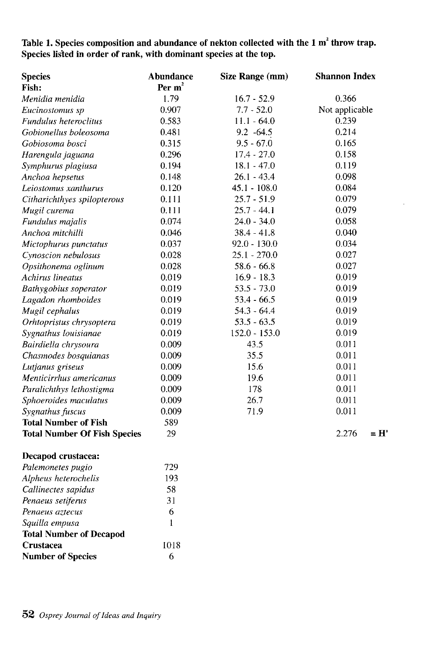# Table 1. Species composition and abundance of nekton collected with the 1 m<sup>2</sup> throw trap. Species listed in order of rank, with dominant species at the top.

| <b>Species</b>                      | Abundance | Size Range (mm) | <b>Shannon Index</b> |  |
|-------------------------------------|-----------|-----------------|----------------------|--|
| Fish:                               | Per $m2$  |                 |                      |  |
| Menidia menidia                     | 1.79      | $16.7 - 52.9$   | 0.366                |  |
| Eucinostomus sp                     | 0.907     | $7.7 - 52.0$    | Not applicable       |  |
| Fundulus heteroclitus               | 0.583     | $11.1 - 64.0$   | 0.239                |  |
| Gobionellus boleosoma               | 0.481     | $9.2 -64.5$     | 0.214                |  |
| Gobiosoma bosci                     | 0.315     | $9.5 - 67.0$    | 0.165                |  |
| Harengula jaguana                   | 0.296     | $17.4 - 27.0$   | 0.158                |  |
| Symphurus plagiusa                  | 0.194     | $18.1 - 47.0$   | 0.119                |  |
| Anchoa hepsetus                     | 0.148     | $26.1 - 43.4$   | 0.098                |  |
| Leiostomus xanthurus                | 0.120     | $45.1 - 108.0$  | 0.084                |  |
| Citharichthyes spilopterous         | 0.111     | $25.7 - 51.9$   | 0.079                |  |
| Mugil curema                        | 0.111     | $25.7 - 44.1$   | 0.079                |  |
| Fundulus majalis                    | 0.074     | $24.0 - 34.0$   | 0.058                |  |
| Anchoa mitchilli                    | 0.046     | $38.4 - 41.8$   | 0.040                |  |
| Mictophurus punctatus               | 0.037     | $92.0 - 130.0$  | 0.034                |  |
| Cynoscion nebulosus                 | 0.028     | $25.1 - 270.0$  | 0.027                |  |
| Opsithonema oglinum                 | 0.028     | $58.6 - 66.8$   | 0.027                |  |
| Achirus lineatus                    | 0.019     | $16.9 - 18.3$   | 0.019                |  |
| Bathygobius soperator               | 0.019     | $53.5 - 73.0$   | 0.019                |  |
| Lagadon rhomboides                  | 0.019     | $53.4 - 66.5$   | 0.019                |  |
| Mugil cephalus                      | 0.019     | $54.3 - 64.4$   | 0.019                |  |
| Orhtopristus chrysoptera            | 0.019     | $53.5 - 63.5$   | 0.019                |  |
| Sygnathus louisianae                | 0.019     | $152.0 - 153.0$ | 0.019                |  |
| Bairdiella chrysoura                | 0.009     | 43.5            | 0.011                |  |
| Chasmodes bosquianas                | 0.009     | 35.5            | 0.011                |  |
| Lutjanus griseus                    | 0.009     | 15.6            | 0.011                |  |
| Menticirrhus americanus             | 0.009     | 19.6            | 0.011                |  |
| Paralichthys lethostigma            | 0.009     | 178             | 0.011                |  |
| Sphoeroides maculatus               | 0.009     | 26.7            | 0.011                |  |
| Sygnathus fuscus                    | 0.009     | 71.9            | 0.011                |  |
| <b>Total Number of Fish</b>         | 589       |                 |                      |  |
| <b>Total Number Of Fish Species</b> | 29        |                 | 2.276<br>$= H'$      |  |
| Decapod crustacea:                  |           |                 |                      |  |
| Palemonetes pugio                   | 729       |                 |                      |  |
| Alpheus heterochelis                | 193       |                 |                      |  |
| Callinectes sapidus                 | 58        |                 |                      |  |
| Penaeus setiferus                   | 31        |                 |                      |  |
| Penaeus aztecus                     | 6         |                 |                      |  |
| Squilla empusa                      | 1         |                 |                      |  |
| <b>Total Number of Decapod</b>      |           |                 |                      |  |
| Crustacea                           | 1018      |                 |                      |  |
| <b>Number of Species</b>            | 6         |                 |                      |  |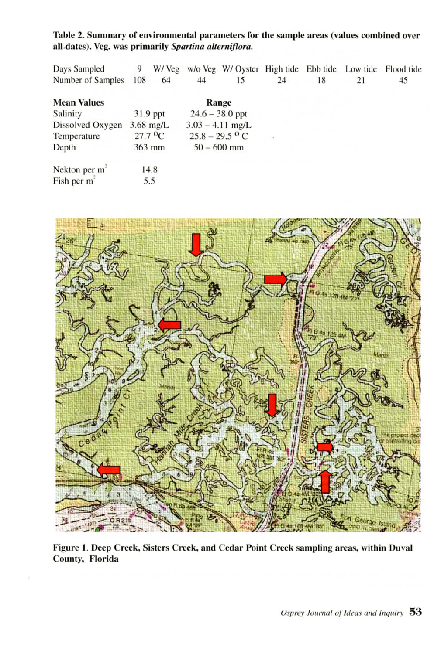Table 2. Summary of environmental parameters for the sample areas (values combined over all<sub>-dates</sub>). Veg. was primarily *Spartina alterniflora*.

| Days Sampled            | 9        | W/Veg                           |                   | w/o Veg W/ Oyster High tide Ebb tide |    |    | Low tide | Flood tide |
|-------------------------|----------|---------------------------------|-------------------|--------------------------------------|----|----|----------|------------|
| Number of Samples       | 108      | 64                              | 44                | 15                                   | 24 | 18 | 21       | 45         |
| <b>Mean Values</b>      |          |                                 |                   | Range                                |    |    |          |            |
| Salinity                | 31.9 ppt |                                 | $24.6 - 38.0$ ppt |                                      |    |    |          |            |
| Dissolved Oxygen        |          | $3.68$ mg/L                     |                   | $3.03 - 4.11$ mg/L                   |    |    |          |            |
| Temperature             |          | $27.7 \text{ }^{\circ}\text{C}$ |                   | $25.8 - 29.5$ °C                     |    |    |          |            |
| Depth                   |          | $363$ mm                        |                   | $50 - 600$ mm                        |    |    |          |            |
| Nekton per $m2$         |          | 14.8                            |                   |                                      |    |    |          |            |
| Fish per m <sup>*</sup> |          | 5.5                             |                   |                                      |    |    |          |            |
|                         |          |                                 |                   |                                      |    |    |          |            |



Figure 1. Deep Creek, Sisters Creek, and Cedar Point Creek sampling areas, within Duval County, Florida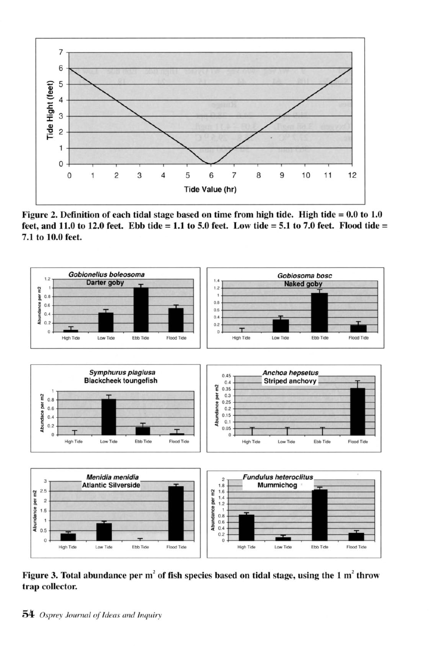

Figure 2. Definition of each tidal stage based on time from high tide. High tide =  $0.0$  to 1.0 feet, and 11.0 to 12.0 feet. Ebb tide = 1.1 to 5.0 feet. Low tide = 5.1 to 7.0 feet. Flood tide = 7.1 to 10.0 feet.



Figure 3. Total abundance per  $m^2$  of fish species based on tidal stage, using the 1  $m^2$  throw trap collector.